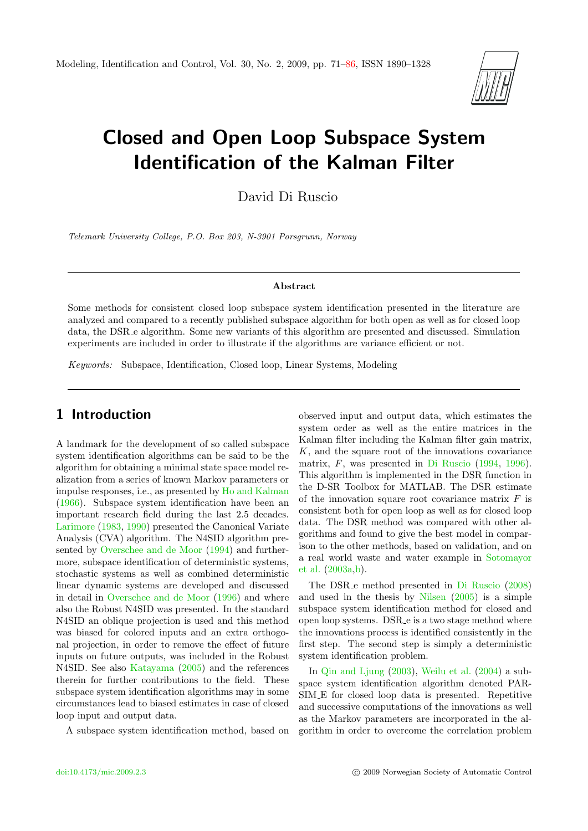

# Closed and Open Loop Subspace System Identification of the Kalman Filter

David Di Ruscio

Telemark University College, P.O. Box 203, N-3901 Porsgrunn, Norway

#### Abstract

Some methods for consistent closed loop subspace system identification presented in the literature are analyzed and compared to a recently published subspace algorithm for both open as well as for closed loop data, the DSR e algorithm. Some new variants of this algorithm are presented and discussed. Simulation experiments are included in order to illustrate if the algorithms are variance efficient or not.

Keywords: Subspace, Identification, Closed loop, Linear Systems, Modeling

## 1 Introduction

A landmark for the development of so called subspace system identification algorithms can be said to be the algorithm for obtaining a minimal state space model realization from a series of known Markov parameters or impulse responses, i.e., as presented by [Ho and Kalman](#page-14-0) [\(1966\)](#page-14-0). Subspace system identification have been an important research field during the last 2.5 decades. [Larimore](#page-14-1) [\(1983,](#page-14-1) [1990\)](#page-14-2) presented the Canonical Variate Analysis (CVA) algorithm. The N4SID algorithm presented by [Overschee and de Moor](#page-14-3) [\(1994\)](#page-14-3) and furthermore, subspace identification of deterministic systems, stochastic systems as well as combined deterministic linear dynamic systems are developed and discussed in detail in [Overschee and de Moor](#page-14-4) [\(1996\)](#page-14-4) and where also the Robust N4SID was presented. In the standard N4SID an oblique projection is used and this method was biased for colored inputs and an extra orthogonal projection, in order to remove the effect of future inputs on future outputs, was included in the Robust N4SID. See also [Katayama](#page-14-5) [\(2005\)](#page-14-5) and the references therein for further contributions to the field. These subspace system identification algorithms may in some circumstances lead to biased estimates in case of closed loop input and output data.

A subspace system identification method, based on

observed input and output data, which estimates the system order as well as the entire matrices in the Kalman filter including the Kalman filter gain matrix, K, and the square root of the innovations covariance matrix, F, was presented in [Di Ruscio](#page-14-6) [\(1994,](#page-14-6) [1996\)](#page-14-7). This algorithm is implemented in the DSR function in the D-SR Toolbox for MATLAB. The DSR estimate of the innovation square root covariance matrix  $F$  is consistent both for open loop as well as for closed loop data. The DSR method was compared with other algorithms and found to give the best model in comparison to the other methods, based on validation, and on a real world waste and water example in [Sotomayor](#page-14-8) [et al.](#page-14-8) [\(2003a,](#page-14-8)[b\)](#page-14-9).

The DSR<sub>-</sub>e method presented in [Di Ruscio](#page-14-10) [\(2008\)](#page-14-10) and used in the thesis by [Nilsen](#page-14-11) [\(2005\)](#page-14-11) is a simple subspace system identification method for closed and open loop systems. DSR e is a two stage method where the innovations process is identified consistently in the first step. The second step is simply a deterministic system identification problem.

In [Qin and Ljung](#page-14-12) [\(2003\)](#page-14-12), [Weilu et al.](#page-14-13) [\(2004\)](#page-14-13) a subspace system identification algorithm denoted PAR-SIM E for closed loop data is presented. Repetitive and successive computations of the innovations as well as the Markov parameters are incorporated in the algorithm in order to overcome the correlation problem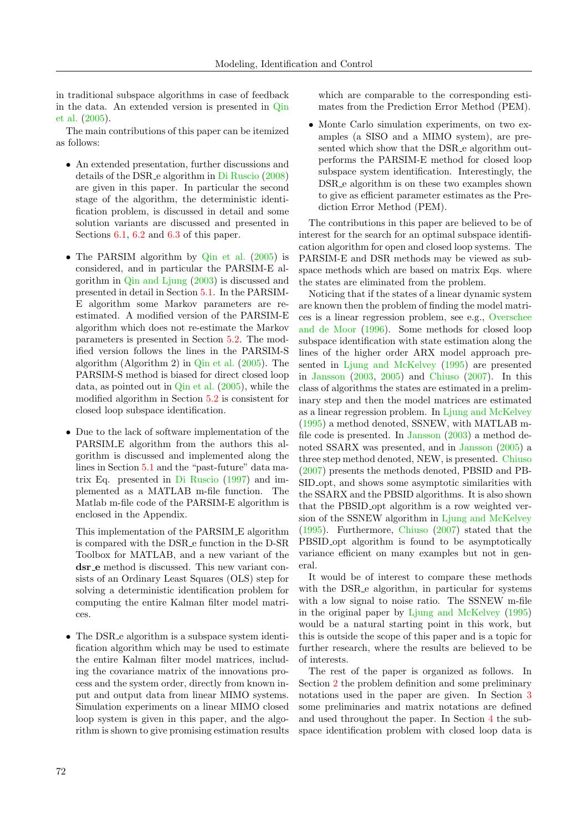in traditional subspace algorithms in case of feedback in the data. An extended version is presented in [Qin](#page-14-14) [et al.](#page-14-14) [\(2005\)](#page-14-14).

The main contributions of this paper can be itemized as follows:

- An extended presentation, further discussions and details of the DSR e algorithm in [Di Ruscio](#page-14-10) [\(2008\)](#page-14-10) are given in this paper. In particular the second stage of the algorithm, the deterministic identification problem, is discussed in detail and some solution variants are discussed and presented in Sections [6.1,](#page-9-0) [6.2](#page-9-1) and [6.3](#page-10-0) of this paper.
- The PARSIM algorithm by [Qin et al.](#page-14-14) [\(2005\)](#page-14-14) is considered, and in particular the PARSIM-E algorithm in [Qin and Ljung](#page-14-12) [\(2003\)](#page-14-12) is discussed and presented in detail in Section [5.1.](#page-4-0) In the PARSIM-E algorithm some Markov parameters are reestimated. A modified version of the PARSIM-E algorithm which does not re-estimate the Markov parameters is presented in Section [5.2.](#page-5-0) The modified version follows the lines in the PARSIM-S algorithm (Algorithm 2) in [Qin et al.](#page-14-14) [\(2005\)](#page-14-14). The PARSIM-S method is biased for direct closed loop data, as pointed out in [Qin et al.](#page-14-14) [\(2005\)](#page-14-14), while the modified algorithm in Section [5.2](#page-5-0) is consistent for closed loop subspace identification.
- Due to the lack of software implementation of the PARSIM E algorithm from the authors this algorithm is discussed and implemented along the lines in Section [5.1](#page-4-0) and the "past-future" data matrix Eq. presented in [Di Ruscio](#page-14-15) [\(1997\)](#page-14-15) and implemented as a MATLAB m-file function. The Matlab m-file code of the PARSIM-E algorithm is enclosed in the Appendix.

This implementation of the PARSIM E algorithm is compared with the DSR e function in the D-SR Toolbox for MATLAB, and a new variant of the dsr e method is discussed. This new variant consists of an Ordinary Least Squares (OLS) step for solving a deterministic identification problem for computing the entire Kalman filter model matrices.

• The DSR e algorithm is a subspace system identification algorithm which may be used to estimate the entire Kalman filter model matrices, including the covariance matrix of the innovations process and the system order, directly from known input and output data from linear MIMO systems. Simulation experiments on a linear MIMO closed loop system is given in this paper, and the algorithm is shown to give promising estimation results which are comparable to the corresponding estimates from the Prediction Error Method (PEM).

• Monte Carlo simulation experiments, on two examples (a SISO and a MIMO system), are presented which show that the DSR e algorithm outperforms the PARSIM-E method for closed loop subspace system identification. Interestingly, the DSR e algorithm is on these two examples shown to give as efficient parameter estimates as the Prediction Error Method (PEM).

The contributions in this paper are believed to be of interest for the search for an optimal subspace identification algorithm for open and closed loop systems. The PARSIM-E and DSR methods may be viewed as subspace methods which are based on matrix Eqs. where the states are eliminated from the problem.

Noticing that if the states of a linear dynamic system are known then the problem of finding the model matrices is a linear regression problem, see e.g., [Overschee](#page-14-4) [and de Moor](#page-14-4) [\(1996\)](#page-14-4). Some methods for closed loop subspace identification with state estimation along the lines of the higher order ARX model approach presented in [Ljung and McKelvey](#page-14-16) [\(1995\)](#page-14-16) are presented in [Jansson](#page-14-17) [\(2003,](#page-14-17) [2005\)](#page-14-18) and [Chiuso](#page-14-19) [\(2007\)](#page-14-19). In this class of algorithms the states are estimated in a preliminary step and then the model matrices are estimated as a linear regression problem. In [Ljung and McKelvey](#page-14-16) [\(1995\)](#page-14-16) a method denoted, SSNEW, with MATLAB mfile code is presented. In [Jansson](#page-14-17) [\(2003\)](#page-14-17) a method denoted SSARX was presented, and in [Jansson](#page-14-18) [\(2005\)](#page-14-18) a three step method denoted, NEW, is presented. [Chiuso](#page-14-19) [\(2007\)](#page-14-19) presents the methods denoted, PBSID and PB-SID opt, and shows some asymptotic similarities with the SSARX and the PBSID algorithms. It is also shown that the PBSID opt algorithm is a row weighted version of the SSNEW algorithm in [Ljung and McKelvey](#page-14-16) [\(1995\)](#page-14-16). Furthermore, [Chiuso](#page-14-19) [\(2007\)](#page-14-19) stated that the PBSID opt algorithm is found to be asymptotically variance efficient on many examples but not in general.

It would be of interest to compare these methods with the DSR<sub>-c</sub>e algorithm, in particular for systems with a low signal to noise ratio. The SSNEW m-file in the original paper by [Ljung and McKelvey](#page-14-16) [\(1995\)](#page-14-16) would be a natural starting point in this work, but this is outside the scope of this paper and is a topic for further research, where the results are believed to be of interests.

The rest of the paper is organized as follows. In Section [2](#page-2-0) the problem definition and some preliminary notations used in the paper are given. In Section [3](#page-2-1) some preliminaries and matrix notations are defined and used throughout the paper. In Section [4](#page-3-0) the subspace identification problem with closed loop data is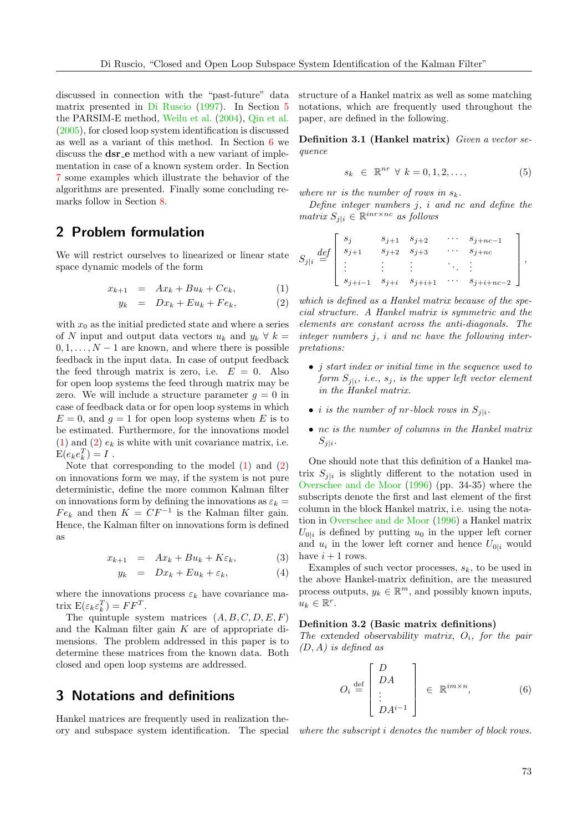discussed in connection with the "past-future" data matrix presented in [Di Ruscio](#page-14-15) [\(1997\)](#page-14-15). In Section [5](#page-4-1) the PARSIM-E method, [Weilu et al.](#page-14-13) [\(2004\)](#page-14-13), [Qin et al.](#page-14-14) [\(2005\)](#page-14-14), for closed loop system identification is discussed as well as a variant of this method. In Section [6](#page-7-0) we discuss the **dsr** e method with a new variant of implementation in case of a known system order. In Section [7](#page-11-0) some examples which illustrate the behavior of the algorithms are presented. Finally some concluding remarks follow in Section [8.](#page-13-0)

# <span id="page-2-0"></span>2 Problem formulation

We will restrict ourselves to linearized or linear state space dynamic models of the form

<span id="page-2-2"></span>
$$
x_{k+1} = Ax_k + Bu_k + Ce_k, \qquad (1)
$$

$$
y_k = Dx_k + Eu_k + Fe_k, \qquad (2)
$$

with  $x_0$  as the initial predicted state and where a series of N input and output data vectors  $u_k$  and  $y_k \forall k =$  $0, 1, \ldots, N-1$  are known, and where there is possible feedback in the input data. In case of output feedback the feed through matrix is zero, i.e.  $E = 0$ . Also for open loop systems the feed through matrix may be zero. We will include a structure parameter  $q = 0$  in case of feedback data or for open loop systems in which  $E = 0$ , and  $q = 1$  for open loop systems when E is to be estimated. Furthermore, for the innovations model [\(1\)](#page-2-2) and [\(2\)](#page-2-2)  $e_k$  is white with unit covariance matrix, i.e.  $E(e_k e_k^T) = I$ .

Note that corresponding to the model [\(1\)](#page-2-2) and [\(2\)](#page-2-2) on innovations form we may, if the system is not pure deterministic, define the more common Kalman filter on innovations form by defining the innovations as  $\varepsilon_k =$  $Fe_k$  and then  $K = CF^{-1}$  is the Kalman filter gain. Hence, the Kalman filter on innovations form is defined as

<span id="page-2-3"></span>
$$
x_{k+1} = Ax_k + Bu_k + K\varepsilon_k, \tag{3}
$$

$$
y_k = Dx_k + Eu_k + \varepsilon_k, \tag{4}
$$

where the innovations process  $\varepsilon_k$  have covariance matrix  $E(\varepsilon_k \varepsilon_k^T) = FF^T$ .

The quintuple system matrices  $(A, B, C, D, E, F)$ and the Kalman filter gain K are of appropriate dimensions. The problem addressed in this paper is to determine these matrices from the known data. Both closed and open loop systems are addressed.

## <span id="page-2-1"></span>3 Notations and definitions

Hankel matrices are frequently used in realization theory and subspace system identification. The special where the subscript i denotes the number of block rows.

structure of a Hankel matrix as well as some matching notations, which are frequently used throughout the paper, are defined in the following.

Definition 3.1 (Hankel matrix) Given a vector sequence

$$
s_k \in \mathbb{R}^{nr} \ \forall \ k = 0, 1, 2, \dots,
$$
 (5)

where nr is the number of rows in  $s_k$ .

Define integer numbers  $j$ ,  $i$  and  $nc$  and define the  $matrix S_{j|i} \in \mathbb{R}^{inr \times nc}$  as follows

$$
S_{j|i} \stackrel{def}{=} \begin{bmatrix} s_j & s_{j+1} & s_{j+2} & \cdots & s_{j+nc-1} \\ s_{j+1} & s_{j+2} & s_{j+3} & \cdots & s_{j+nc} \\ \vdots & \vdots & \vdots & \ddots & \vdots \\ s_{j+i-1} & s_{j+i} & s_{j+i+1} & \cdots & s_{j+i+nc-2} \end{bmatrix},
$$

which is defined as a Hankel matrix because of the special structure. A Hankel matrix is symmetric and the elements are constant across the anti-diagonals. The integer numbers j, i and nc have the following interpretations:

- *j* start index or initial time in the sequence used to form  $S_{j|i}$ , i.e.,  $s_j$ , is the upper left vector element in the Hankel matrix.
- *i is the number of nr-block rows in*  $S_{j|i}$ .
- nc is the number of columns in the Hankel matrix  $S_{j|i}$ .

One should note that this definition of a Hankel matrix  $S_{j|i}$  is slightly different to the notation used in [Overschee and de Moor](#page-14-4) [\(1996\)](#page-14-4) (pp. 34-35) where the subscripts denote the first and last element of the first column in the block Hankel matrix, i.e. using the notation in [Overschee and de Moor](#page-14-4) [\(1996\)](#page-14-4) a Hankel matrix  $U_{0|i}$  is defined by putting  $u_0$  in the upper left corner and  $u_i$  in the lower left corner and hence  $U_{0|i}$  would have  $i + 1$  rows.

Examples of such vector processes,  $s_k$ , to be used in the above Hankel-matrix definition, are the measured process outputs,  $y_k \in \mathbb{R}^m$ , and possibly known inputs,  $u_k \in \mathbb{R}^r$ .

#### Definition 3.2 (Basic matrix definitions)

The extended observability matrix,  $O_i$ , for the pair  $(D, A)$  is defined as

$$
O_i \stackrel{\text{def}}{=} \begin{bmatrix} D \\ DA \\ \vdots \\ DA^{i-1} \end{bmatrix} \in \mathbb{R}^{im \times n}, \tag{6}
$$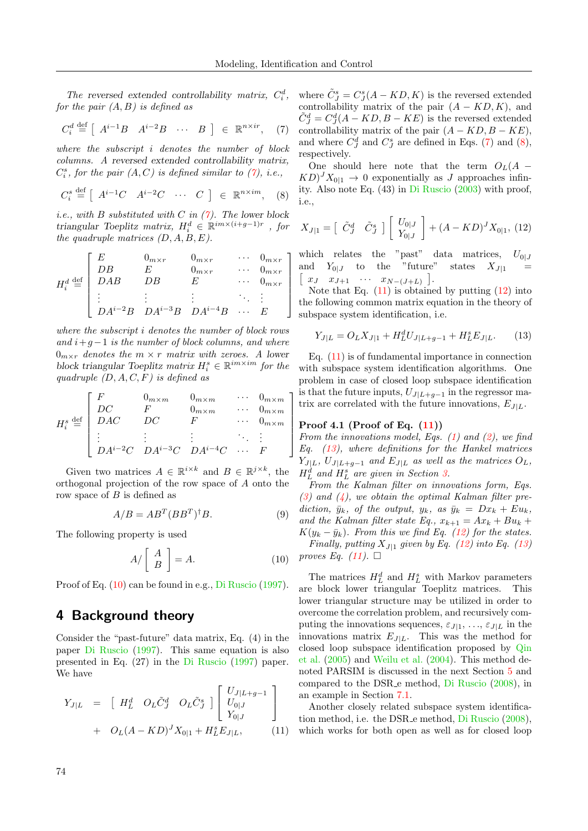1  $\overline{1}$  $\overline{1}$  $\frac{1}{2}$  $\overline{1}$  $\overline{1}$  $\overline{1}$ 

> 1  $\overline{1}$  $\overline{1}$  $\overline{1}$  $\overline{1}$  $\overline{1}$  $\overline{1}$

The reversed extended controllability matrix,  $C_i^d$ , for the pair  $(A, B)$  is defined as

<span id="page-3-1"></span>
$$
C_i^d \stackrel{\text{def}}{=} \left[ A^{i-1}B \quad A^{i-2}B \quad \cdots \quad B \right] \in \mathbb{R}^{n \times ir}, \quad (7)
$$

where the subscript i denotes the number of block columns. A reversed extended controllability matrix,  $C_i^s$ , for the pair  $(A, C)$  is defined similar to  $(7)$ , i.e.,

<span id="page-3-3"></span>
$$
C_i^s \stackrel{\text{def}}{=} \left[ \begin{array}{cccc} A^{i-1}C & A^{i-2}C & \cdots & C \end{array} \right] \in \mathbb{R}^{n \times im}, \quad (8)
$$

*i.e.*, with B substituted with C in  $(7)$ . The lower block triangular Toeplitz matrix,  $H_i^d \in \mathbb{R}^{im \times (i+g-1)r}$ , for the quadruple matrices  $(D, A, B, E)$ .

<span id="page-3-7"></span>
$$
H_i^d \stackrel{\text{def}}{=} \begin{bmatrix} E & 0_{m \times r} & 0_{m \times r} & \cdots & 0_{m \times r} \\ DB & E & 0_{m \times r} & \cdots & 0_{m \times r} \\ DAB & DB & E & \cdots & 0_{m \times r} \\ \vdots & \vdots & \vdots & \ddots & \vdots \\ DA^{i-2}B & DA^{i-3}B & DA^{i-4}B & \cdots & E \end{bmatrix}
$$

where the subscript i denotes the number of block rows and  $i+g-1$  is the number of block columns, and where  $0_{m \times r}$  denotes the  $m \times r$  matrix with zeroes. A lower block triangular Toeplitz matrix  $H_i^s \in \mathbb{R}^{im \times im}$  for the quadruple  $(D, A, C, F)$  is defined as

$$
H_i^s \stackrel{\text{def}}{=} \begin{bmatrix} F & 0_{m \times m} & 0_{m \times m} & \cdots & 0_{m \times m} \\ DC & F & 0_{m \times m} & \cdots & 0_{m \times m} \\ DAC & DC & F & \cdots & 0_{m \times m} \\ \vdots & \vdots & \vdots & \ddots & \vdots \\ DA^{i-2}C & DA^{i-3}C & DA^{i-4}C & \cdots & F \end{bmatrix}
$$

Given two matrices  $A \in \mathbb{R}^{i \times k}$  and  $B \in \mathbb{R}^{j \times k}$ , the orthogonal projection of the row space of A onto the row space of  $B$  is defined as

$$
A/B = AB^T (BB^T)^{\dagger} B. \tag{9}
$$

The following property is used

<span id="page-3-2"></span>
$$
A/\left[\begin{array}{c} A \\ B \end{array}\right] = A.\tag{10}
$$

Proof of Eq. [\(10\)](#page-3-2) can be found in e.g., [Di Ruscio](#page-14-15) [\(1997\)](#page-14-15).

## <span id="page-3-0"></span>4 Background theory

Consider the "past-future" data matrix, Eq. (4) in the paper [Di Ruscio](#page-14-15) [\(1997\)](#page-14-15). This same equation is also presented in Eq. (27) in the [Di Ruscio](#page-14-15) [\(1997\)](#page-14-15) paper. We have

<span id="page-3-4"></span>
$$
Y_{J|L} = [H_L^d \t O_L \tilde{C}_J^d \t O_L \tilde{C}_J^s] \begin{bmatrix} U_{J|L+g-1} \\ U_{0|J} \\ Y_{0|J} \end{bmatrix} + O_L (A - KD)^J X_{0|1} + H_L^s E_{J|L}, \qquad (11)
$$

where  $\tilde{C}_J^s = C_J^s(A - KD, K)$  is the reversed extended controllability matrix of the pair  $(A - KD, K)$ , and  $\tilde{C}_J^d = C_J^d(A - KD, B - KE)$  is the reversed extended controllability matrix of the pair  $(A - KD, B - KE)$ , and where  $C_J^d$  and  $C_J^s$  are defined in Eqs. [\(7\)](#page-3-1) and [\(8\)](#page-3-3), respectively.

One should here note that the term  $O_L(A KD)^J X_{0|1} \rightarrow 0$  exponentially as J approaches infinity. Also note Eq. (43) in [Di Ruscio](#page-14-20) [\(2003\)](#page-14-20) with proof, i.e.,

<span id="page-3-5"></span>
$$
X_{J|1} = \begin{bmatrix} \tilde{C}^d_J & \tilde{C}^s_J \end{bmatrix} \begin{bmatrix} U_{0|J} \\ Y_{0|J} \end{bmatrix} + (A - KD)^J X_{0|1}, (12)
$$

which relates the "past" data matrices,  $U_{0|J}$ and  $Y_{0|J}$  to the "future" states  $X_{J|1}$  =  $\begin{bmatrix} x_J & x_{J+1} & \cdots & x_{N-(J+L)} \end{bmatrix}$ .

Note that Eq.  $(11)$  is obtained by putting  $(12)$  into the following common matrix equation in the theory of subspace system identification, i.e.

<span id="page-3-6"></span>
$$
Y_{J|L} = O_L X_{J|1} + H_L^d U_{J|L+g-1} + H_L^s E_{J|L}.
$$
 (13)

Eq. [\(11\)](#page-3-4) is of fundamental importance in connection with subspace system identification algorithms. One problem in case of closed loop subspace identification is that the future inputs,  $U_{J|L+g-1}$  in the regressor matrix are correlated with the future innovations,  $E_{J|L}$ .

#### Proof 4.1 (Proof of Eq. [\(11\)](#page-3-4))

From the innovations model, Eqs.  $(1)$  and  $(2)$ , we find Eq.  $(13)$ , where definitions for the Hankel matrices  $Y_{J|L}$ ,  $U_{J|L+g-1}$  and  $E_{J|L}$  as well as the matrices  $O_L$ ,  $H_L^d$  and  $H_L^s$  are given in Section [3.](#page-2-1)

From the Kalman filter on innovations form, Eqs.  $(3)$  and  $(4)$ , we obtain the optimal Kalman filter prediction,  $\bar{y}_k$ , of the output,  $y_k$ , as  $\bar{y}_k = Dx_k + Eu_k$ , and the Kalman filter state Eq.,  $x_{k+1} = Ax_k + Bu_k +$  $K(y_k - \bar{y}_k)$ . From this we find Eq. [\(12\)](#page-3-5) for the states.

Finally, putting  $X_{J|1}$  given by Eq. [\(12\)](#page-3-5) into Eq. [\(13\)](#page-3-6) proves Eq.  $(11)$ .  $\Box$ 

The matrices  $H_L^d$  and  $H_L^s$  with Markov parameters are block lower triangular Toeplitz matrices. This lower triangular structure may be utilized in order to overcome the correlation problem, and recursively computing the innovations sequences,  $\varepsilon_{J|1}, \ldots, \varepsilon_{J|L}$  in the innovations matrix  $E_{J|L}$ . This was the method for closed loop subspace identification proposed by [Qin](#page-14-14) [et al.](#page-14-14) [\(2005\)](#page-14-14) and [Weilu et al.](#page-14-13) [\(2004\)](#page-14-13). This method denoted PARSIM is discussed in the next Section [5](#page-4-1) and compared to the DSR e method, [Di Ruscio](#page-14-10) [\(2008\)](#page-14-10), in an example in Section [7.1.](#page-11-1)

Another closely related subspace system identification method, i.e. the DSR e method, [Di Ruscio](#page-14-10) [\(2008\)](#page-14-10), which works for both open as well as for closed loop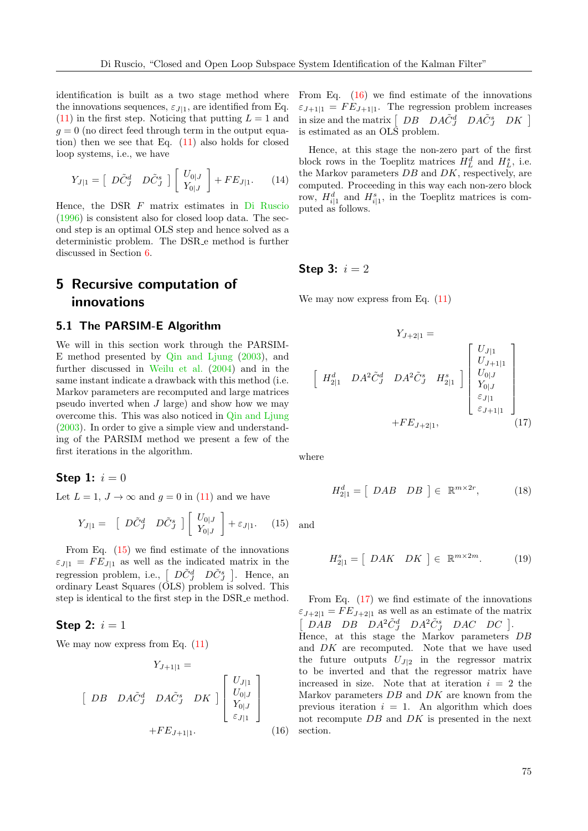identification is built as a two stage method where the innovations sequences,  $\varepsilon_{J|1}$ , are identified from Eq.  $(11)$  in the first step. Noticing that putting  $L = 1$  and  $g = 0$  (no direct feed through term in the output equation) then we see that Eq. [\(11\)](#page-3-4) also holds for closed loop systems, i.e., we have

$$
Y_{J|1} = \left[\begin{array}{cc} D\tilde{C}^d_J & D\tilde{C}^s_J \end{array}\right] \left[\begin{array}{c} U_{0|J} \\ Y_{0|J} \end{array}\right] + FE_{J|1}.
$$
 (14)

Hence, the DSR F matrix estimates in [Di Ruscio](#page-14-7) [\(1996\)](#page-14-7) is consistent also for closed loop data. The second step is an optimal OLS step and hence solved as a deterministic problem. The DSR e method is further discussed in Section [6.](#page-7-0)

# <span id="page-4-1"></span>5 Recursive computation of innovations

#### <span id="page-4-0"></span>5.1 The PARSIM-E Algorithm

We will in this section work through the PARSIM-E method presented by [Qin and Ljung](#page-14-12) [\(2003\)](#page-14-12), and further discussed in [Weilu et al.](#page-14-13) [\(2004\)](#page-14-13) and in the same instant indicate a drawback with this method (i.e. Markov parameters are recomputed and large matrices pseudo inverted when J large) and show how we may overcome this. This was also noticed in [Qin and Ljung](#page-14-12) [\(2003\)](#page-14-12). In order to give a simple view and understanding of the PARSIM method we present a few of the first iterations in the algorithm.

Step 1: 
$$
i = 0
$$

Let  $L = 1, J \rightarrow \infty$  and  $g = 0$  in [\(11\)](#page-3-4) and we have

<span id="page-4-2"></span>
$$
Y_{J|1} = \begin{bmatrix} D\tilde{C}_J^d & D\tilde{C}_J^s \end{bmatrix} \begin{bmatrix} U_{0|J} \\ Y_{0|J} \end{bmatrix} + \varepsilon_{J|1}.
$$
 (15)

From Eq. [\(15\)](#page-4-2) we find estimate of the innovations  $\varepsilon_{J|1} = FE_{J|1}$  as well as the indicated matrix in the regression problem, i.e.,  $\begin{bmatrix} D\tilde{C}_{J}^{d} & D\tilde{C}_{J}^{s} \end{bmatrix}$ . Hence, an ordinary Least Squares (OLS) problem is solved. This step is identical to the first step in the DSR e method.

#### Step 2:  $i = 1$

We may now express from Eq.  $(11)$ 

<span id="page-4-3"></span>
$$
Y_{J+1|1} =
$$
\n
$$
\begin{bmatrix} DB & DA\tilde{C}_{J}^{d} & DA\tilde{C}_{J}^{s} & DK \end{bmatrix} \begin{bmatrix} U_{J|1} \\ U_{0|J} \\ Y_{0|J} \\ \varepsilon_{J|1} \end{bmatrix}
$$
\n
$$
+ FE_{J+1|1}.
$$
\n(16)

From Eq. [\(16\)](#page-4-3) we find estimate of the innovations  $\varepsilon_{J+1|1} = FE_{J+1|1}$ . The regression problem increases in size and the matrix  $\left[\begin{array}{ccc} DB & DA\tilde{C}_{J}^{d} & DA\tilde{C}_{J}^{s} & DK \end{array}\right]$ is estimated as an OLS problem.

Hence, at this stage the non-zero part of the first block rows in the Toeplitz matrices  $H_L^d$  and  $H_L^s$ , i.e. the Markov parameters  $DB$  and  $DK$ , respectively, are computed. Proceeding in this way each non-zero block row,  $H_{i|1}^d$  and  $H_{i|1}^s$ , in the Toeplitz matrices is computed as follows.

#### Step 3:  $i = 2$

We may now express from Eq.  $(11)$ 

<span id="page-4-4"></span>
$$
Y_{J+2|1} = \begin{bmatrix} U_{J|1} \\ H_{2|1}^d & DA^2 \tilde{C}_J^d & DA^2 \tilde{C}_J^s & H_{2|1}^s \end{bmatrix} \begin{bmatrix} U_{J|1} \\ U_{J+1|1} \\ U_{0|J} \\ Y_{0|J} \\ \varepsilon_{J|1} \\ \varepsilon_{J+1|1} \end{bmatrix}
$$
  
+ $FE_{J+2|1}$ , (17)

where

$$
H_{2|1}^d = \left[ \begin{array}{cc} DAB & DB \end{array} \right] \in \mathbb{R}^{m \times 2r}, \tag{18}
$$

and

$$
H_{2|1}^s = \left[ \begin{array}{cc} DAK & DK \end{array} \right] \in \mathbb{R}^{m \times 2m}.
$$
 (19)

From Eq.  $(17)$  we find estimate of the innovations  $\varepsilon_{J+2|1} = FE_{J+2|1}$  as well as an estimate of the matrix  $\sqrt{2}$  $DAB$   $DB$   $DA^2\tilde{C}_J^d$   $DA^2\tilde{C}_J^s$   $DAC$   $DC$  ]. Hence, at this stage the Markov parameters DB and  $DK$  are recomputed. Note that we have used the future outputs  $U_{J|2}$  in the regressor matrix to be inverted and that the regressor matrix have increased in size. Note that at iteration  $i = 2$  the Markov parameters  $DB$  and  $DK$  are known from the previous iteration  $i = 1$ . An algorithm which does not recompute DB and DK is presented in the next section.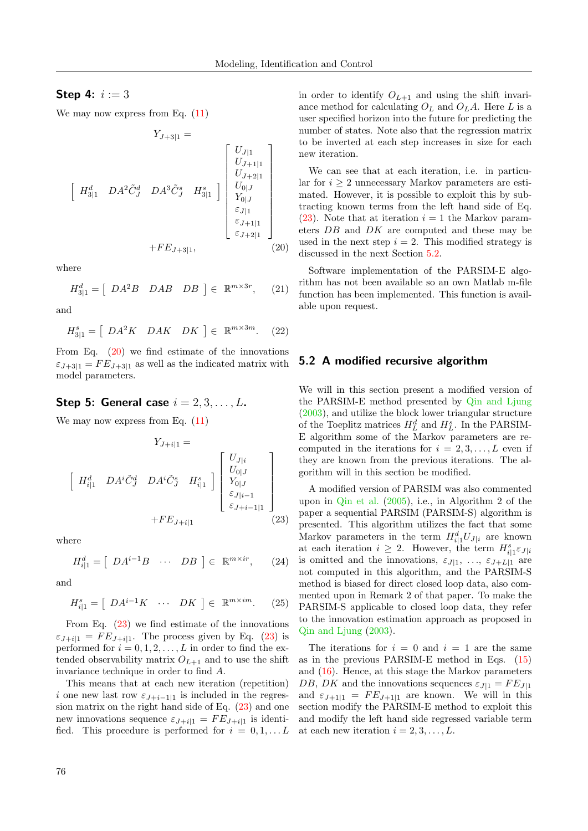## **Step 4:**  $i := 3$

We may now express from Eq.  $(11)$ 

<span id="page-5-1"></span>
$$
Y_{J+3|1} = \begin{bmatrix} U_{J|1} \\ U_{J+1|1} \\ U_{J+2|1} \\ U_{J+2|1} \\ V_{0|J} \\ Y_{0|J} \\ \varepsilon_{J|1} \\ \varepsilon_{J+1|1} \\ \varepsilon_{J+2|1} \end{bmatrix}
$$
  
+ $FE_{J+3|1}$ , (20)

where

$$
H_{3|1}^d = [DA^2B \quad DAB \quad DB] \in \mathbb{R}^{m \times 3r}, \quad (21)
$$

and

$$
H_{3|1}^{s} = \left[ \begin{array}{cc} DA^2K & DAK & DK \end{array} \right] \in \mathbb{R}^{m \times 3m}.
$$
 (22)

From Eq.  $(20)$  we find estimate of the innovations  $\varepsilon_{J+3|1} = FE_{J+3|1}$  as well as the indicated matrix with model parameters.

#### Step 5: General case  $i = 2, 3, \ldots, L$ .

We may now express from Eq.  $(11)$ 

<span id="page-5-2"></span>
$$
Y_{J+i|1} = \begin{bmatrix} H_{i|1}^d & DA^i \tilde{C}_J^d & DA^i \tilde{C}_J^s & H_{i|1}^s \end{bmatrix} \begin{bmatrix} U_{J|i} \\ U_{0|J} \\ Y_{0|J} \\ \varepsilon_{J|i-1} \\ \varepsilon_{J+i-1|1} \end{bmatrix}
$$

$$
+ FE_{J+i|1} \qquad (23)
$$

where

$$
H_{i|1}^d = [DA^{i-1}B \cdots DB] \in \mathbb{R}^{m \times ir}, \qquad (24)
$$

and

$$
H_{i|1}^s = \left[ \begin{array}{ccc} DA^{i-1}K & \cdots & DK \end{array} \right] \in \mathbb{R}^{m \times im}.
$$
 (25)

From Eq.  $(23)$  we find estimate of the innovations  $\varepsilon_{J+i|1} = FE_{J+i|1}$ . The process given by Eq. [\(23\)](#page-5-2) is performed for  $i = 0, 1, 2, \ldots, L$  in order to find the extended observability matrix  $O_{L+1}$  and to use the shift invariance technique in order to find A.

This means that at each new iteration (repetition) i one new last row  $\varepsilon_{J+i-1|1}$  is included in the regression matrix on the right hand side of Eq. [\(23\)](#page-5-2) and one new innovations sequence  $\varepsilon_{J+i|1} = FE_{J+i|1}$  is identified. This procedure is performed for  $i = 0, 1, \ldots L$  in order to identify  $O_{L+1}$  and using the shift invariance method for calculating  $O<sub>L</sub>$  and  $O<sub>L</sub>A$ . Here L is a user specified horizon into the future for predicting the number of states. Note also that the regression matrix to be inverted at each step increases in size for each new iteration.

We can see that at each iteration, i.e. in particular for  $i \geq 2$  unnecessary Markov parameters are estimated. However, it is possible to exploit this by subtracting known terms from the left hand side of Eq.  $(23)$ . Note that at iteration  $i = 1$  the Markov parameters DB and DK are computed and these may be used in the next step  $i = 2$ . This modified strategy is discussed in the next Section [5.2.](#page-5-0)

Software implementation of the PARSIM-E algorithm has not been available so an own Matlab m-file function has been implemented. This function is available upon request.

#### <span id="page-5-0"></span>5.2 A modified recursive algorithm

We will in this section present a modified version of the PARSIM-E method presented by [Qin and Ljung](#page-14-12) [\(2003\)](#page-14-12), and utilize the block lower triangular structure of the Toeplitz matrices  $H_L^d$  and  $H_L^s$ . In the PARSIM-E algorithm some of the Markov parameters are recomputed in the iterations for  $i = 2, 3, \ldots, L$  even if they are known from the previous iterations. The algorithm will in this section be modified.

A modified version of PARSIM was also commented upon in [Qin et al.](#page-14-14) [\(2005\)](#page-14-14), i.e., in Algorithm 2 of the paper a sequential PARSIM (PARSIM-S) algorithm is presented. This algorithm utilizes the fact that some Markov parameters in the term  $H_{i|1}^d U_{J|i}$  are known at each iteration  $i \geq 2$ . However, the term  $H_{i|1}^s \varepsilon_{J|i}$ is omitted and the innovations,  $\varepsilon_{J|1}$ , ...,  $\varepsilon_{J+L|1}$  are not computed in this algorithm, and the PARSIM-S method is biased for direct closed loop data, also commented upon in Remark 2 of that paper. To make the PARSIM-S applicable to closed loop data, they refer to the innovation estimation approach as proposed in [Qin and Ljung](#page-14-12) [\(2003\)](#page-14-12).

The iterations for  $i = 0$  and  $i = 1$  are the same as in the previous PARSIM-E method in Eqs. [\(15\)](#page-4-2) and [\(16\)](#page-4-3). Hence, at this stage the Markov parameters DB, DK and the innovations sequences  $\varepsilon_{J|1} = FE_{J|1}$ and  $\varepsilon_{J+1|1} = FE_{J+1|1}$  are known. We will in this section modify the PARSIM-E method to exploit this and modify the left hand side regressed variable term at each new iteration  $i = 2, 3, \ldots, L$ .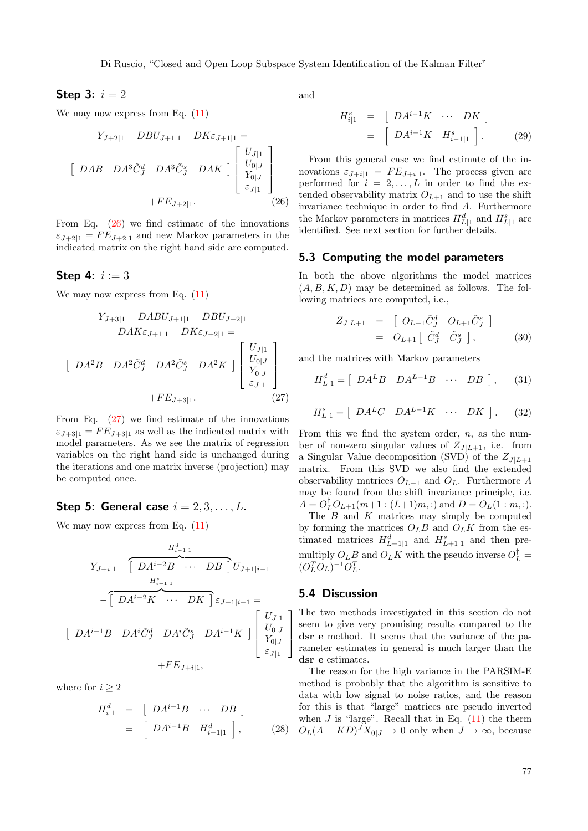#### Step 3:  $i = 2$

We may now express from Eq.  $(11)$ 

<span id="page-6-0"></span>
$$
Y_{J+2|1} - DBU_{J+1|1} - DK\varepsilon_{J+1|1} =
$$
\n
$$
\begin{bmatrix}\nDAB & DA^{3}\tilde{C}_{J}^{d} & DA^{3}\tilde{C}_{J}^{s} & DAK\n\end{bmatrix}\n\begin{bmatrix}\nU_{J|1} \\
U_{0|J} \\
Y_{0|J} \\
\varepsilon_{J|1}\n\end{bmatrix} + FE_{J+2|1}.
$$
\n(26)

From Eq. [\(26\)](#page-6-0) we find estimate of the innovations  $\varepsilon_{J+2|1} = FE_{J+2|1}$  and new Markov parameters in the indicated matrix on the right hand side are computed.

#### **Step 4:**  $i := 3$

 $\sqrt{2}$ 

We may now express from Eq.  $(11)$ 

<span id="page-6-1"></span>
$$
Y_{J+3|1} - DABU_{J+1|1} - DBU_{J+2|1}
$$

$$
-DAK\varepsilon_{J+1|1} - DK\varepsilon_{J+2|1} =
$$

$$
DA^{2}B \quad DA^{2}\tilde{C}_{J}^{d} \quad DA^{2}\tilde{C}_{J}^{s} \quad DA^{2}K \quad ] \begin{bmatrix} U_{J|1} \\ U_{0|J} \\ Y_{0|J} \\ \varepsilon_{J|1} \end{bmatrix}
$$

$$
+ FE_{J+3|1}.
$$
 (27)

From Eq.  $(27)$  we find estimate of the innovations  $\varepsilon_{J+3|1} = FE_{J+3|1}$  as well as the indicated matrix with model parameters. As we see the matrix of regression variables on the right hand side is unchanged during the iterations and one matrix inverse (projection) may be computed once.

#### Step 5: General case  $i = 2, 3, \ldots, L$ .

We may now express from Eq.  $(11)$ 

$$
Y_{J+i|1} - \begin{bmatrix} H_{i-1|1}^d & & & & H_{i-1|1}^d \\ \hline & & & H_{i-1|1}^s & & \\ & & H_{i-1|1}^s & & \\ & & - \begin{bmatrix} DA^{i-2}K & \cdots & DK \end{bmatrix} \varepsilon_{J+1|i-1} = \\ \begin{bmatrix} DA^{i-1}B & DA^i\tilde{C}_J^d & DA^i\tilde{C}_J^s & DA^{i-1}K \end{bmatrix} \begin{bmatrix} U_{J|1} \\ U_{0|J} \\ Y_{0|J} \\ \varepsilon_{J|1} \end{bmatrix} + F E_{J+i|1},
$$

where for  $i \geq 2$ 

$$
H_{i|1}^d = \begin{bmatrix} DA^{i-1}B & \cdots & DB \end{bmatrix}
$$
  
=  $\begin{bmatrix} DA^{i-1}B & H_{i-1|1}^d \end{bmatrix}$ , (28)

and

$$
H_{i|1}^{s} = [DA^{i-1}K \cdots DK]
$$
  
= [DA<sup>i-1</sup>K  $H_{i-1|1}^{s}$ ]. (29)

From this general case we find estimate of the innovations  $\varepsilon_{J+i|1} = FE_{J+i|1}$ . The process given are performed for  $i = 2, \ldots, L$  in order to find the extended observability matrix  $O_{L+1}$  and to use the shift invariance technique in order to find A. Furthermore the Markov parameters in matrices  $H_{L|1}^d$  and  $H_{L|1}^s$  are identified. See next section for further details.

#### 5.3 Computing the model parameters

In both the above algorithms the model matrices  $(A, B, K, D)$  may be determined as follows. The following matrices are computed, i.e.,

$$
Z_{J|L+1} = \begin{bmatrix} O_{L+1}\tilde{C}_J^d & O_{L+1}\tilde{C}_J^s \end{bmatrix}
$$
  
=  $O_{L+1} \begin{bmatrix} \tilde{C}_J^d & \tilde{C}_J^s \end{bmatrix}$ , (30)

and the matrices with Markov parameters

$$
H_{L|1}^d = \left[ \begin{array}{cccc} DA^L B & DA^{L-1}B & \cdots & DB \end{array} \right], \qquad (31)
$$

$$
H_{L|1}^s = \left[ \begin{array}{cccc} DA^L C & DA^{L-1}K & \cdots & DK \end{array} \right]. \tag{32}
$$

From this we find the system order,  $n$ , as the number of non-zero singular values of  $Z_{J|L+1}$ , i.e. from a Singular Value decomposition (SVD) of the  $Z_{J|L+1}$ matrix. From this SVD we also find the extended observability matrices  $O_{L+1}$  and  $O_L$ . Furthermore A may be found from the shift invariance principle, i.e.  $A = O_L^{\dagger} O_{L+1}(m+1 : (L+1)m, :)$  and  $D = O_L(1 : m, :)$ .

The  $\overline{B}$  and  $\overline{K}$  matrices may simply be computed by forming the matrices  $O<sub>L</sub>B$  and  $O<sub>L</sub>K$  from the estimated matrices  $H_{L+1|1}^d$  and  $H_{L+1|1}^s$  and then premultiply  $O_L B$  and  $O_L K$  with the pseudo inverse  $O_L^{\dagger} =$  $(O_L^T O_L)^{-1} O_L^T$ .

#### 5.4 Discussion

1  $\overline{1}$  $\overline{1}$  $\overline{1}$  The two methods investigated in this section do not seem to give very promising results compared to the dsr e method. It seems that the variance of the parameter estimates in general is much larger than the dsr<sub>-e</sub> estimates.

The reason for the high variance in the PARSIM-E method is probably that the algorithm is sensitive to data with low signal to noise ratios, and the reason for this is that "large" matrices are pseudo inverted when  $J$  is "large". Recall that in Eq.  $(11)$  the therm  $O_L(A - KD)^J X_{0|J} \to 0$  only when  $J \to \infty$ , because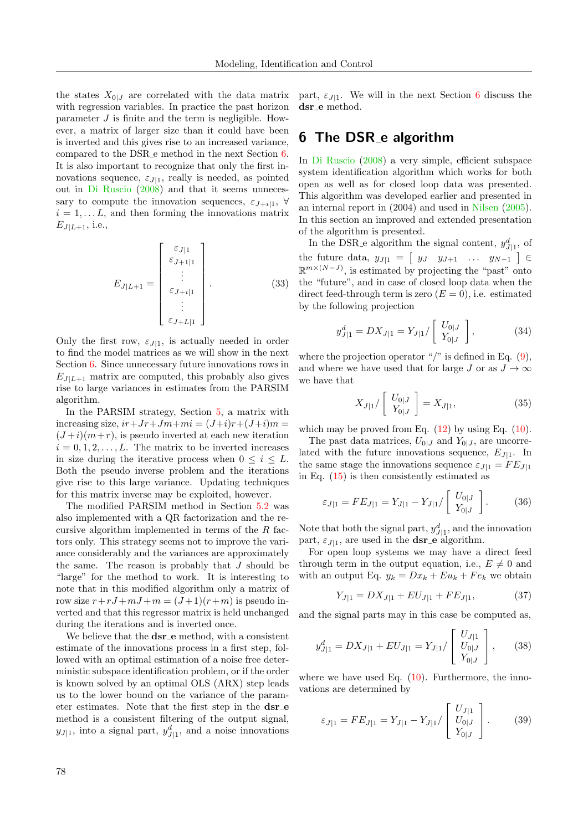the states  $X_{0|J}$  are correlated with the data matrix with regression variables. In practice the past horizon parameter J is finite and the term is negligible. However, a matrix of larger size than it could have been is inverted and this gives rise to an increased variance, compared to the DSR e method in the next Section [6.](#page-7-0) It is also important to recognize that only the first innovations sequence,  $\varepsilon_{J|1}$ , really is needed, as pointed out in [Di Ruscio](#page-14-10) [\(2008\)](#page-14-10) and that it seems unnecessary to compute the innovation sequences,  $\varepsilon_{J+i|1}$ ,  $\forall$  $i = 1, \ldots L$ , and then forming the innovations matrix  $E_{J|L+1}$ , i.e.,

$$
E_{J|L+1} = \begin{bmatrix} \varepsilon_{J|1} \\ \varepsilon_{J+1|1} \\ \vdots \\ \varepsilon_{J+i|1} \\ \varepsilon_{J+L|1} \end{bmatrix} . \tag{33}
$$

Only the first row,  $\varepsilon_{J|1}$ , is actually needed in order to find the model matrices as we will show in the next Section [6.](#page-7-0) Since unnecessary future innovations rows in  $E_{J|L+1}$  matrix are computed, this probably also gives rise to large variances in estimates from the PARSIM algorithm.

In the PARSIM strategy, Section [5,](#page-4-1) a matrix with increasing size,  $ir+Jr+Jm+mi = (J+i)r+(J+i)m =$  $(J+i)(m+r)$ , is pseudo inverted at each new iteration  $i = 0, 1, 2, \ldots, L$ . The matrix to be inverted increases in size during the iterative process when  $0 \leq i \leq L$ . Both the pseudo inverse problem and the iterations give rise to this large variance. Updating techniques for this matrix inverse may be exploited, however.

The modified PARSIM method in Section [5.2](#page-5-0) was also implemented with a QR factorization and the recursive algorithm implemented in terms of the  $R$  factors only. This strategy seems not to improve the variance considerably and the variances are approximately the same. The reason is probably that  $J$  should be "large" for the method to work. It is interesting to note that in this modified algorithm only a matrix of row size  $r+rJ+mJ+m = (J+1)(r+m)$  is pseudo inverted and that this regressor matrix is held unchanged during the iterations and is inverted once.

We believe that the **dsr\_e** method, with a consistent estimate of the innovations process in a first step, followed with an optimal estimation of a noise free deterministic subspace identification problem, or if the order is known solved by an optimal OLS (ARX) step leads us to the lower bound on the variance of the parameter estimates. Note that the first step in the  $dsr$ -e method is a consistent filtering of the output signal,  $y_{J|1}$ , into a signal part,  $y_{J|1}^d$ , and a noise innovations

part,  $\varepsilon_{J|1}$ . We will in the next Section [6](#page-7-0) discuss the dsr\_e method.

## <span id="page-7-0"></span>6 The DSR e algorithm

In [Di Ruscio](#page-14-10) [\(2008\)](#page-14-10) a very simple, efficient subspace system identification algorithm which works for both open as well as for closed loop data was presented. This algorithm was developed earlier and presented in an internal report in (2004) and used in [Nilsen](#page-14-11) [\(2005\)](#page-14-11). In this section an improved and extended presentation of the algorithm is presented.

In the DSR e algorithm the signal content,  $y_{J|1}^d$ , of the future data,  $y_{J|1} = \begin{bmatrix} y_J & y_{J+1} & \dots & y_{N-1} \end{bmatrix} \in$  $\mathbb{R}^{m \times (N-J)}$ , is estimated by projecting the "past" onto the "future", and in case of closed loop data when the direct feed-through term is zero  $(E = 0)$ , i.e. estimated by the following projection

$$
y_{J|1}^d = DX_{J|1} = Y_{J|1}/\left[\begin{array}{c} U_{0|J} \\ Y_{0|J} \end{array}\right],\tag{34}
$$

where the projection operator "/" is defined in Eq.  $(9)$ , and where we have used that for large J or as  $J \to \infty$ we have that

$$
X_{J|1}/\left[\begin{array}{c} U_{0|J} \\ Y_{0|J} \end{array}\right] = X_{J|1},\tag{35}
$$

which may be proved from Eq.  $(12)$  by using Eq.  $(10)$ .

The past data matrices,  $U_{0|J}$  and  $Y_{0|J}$ , are uncorrelated with the future innovations sequence,  $E_{J|1}$ . In the same stage the innovations sequence  $\varepsilon_{J|1} = FE_{J|1}$ in Eq. [\(15\)](#page-4-2) is then consistently estimated as

$$
\varepsilon_{J|1} = FE_{J|1} = Y_{J|1} - Y_{J|1} / \left[ \begin{array}{c} U_{0|J} \\ Y_{0|J} \end{array} \right]. \tag{36}
$$

Note that both the signal part,  $y_{J|1}^d$ , and the innovation part,  $\varepsilon_{J|1}$ , are used in the **dsr** e algorithm.

For open loop systems we may have a direct feed through term in the output equation, i.e.,  $E \neq 0$  and with an output Eq.  $y_k = Dx_k + Eu_k + Fe_k$  we obtain

$$
Y_{J|1} = DX_{J|1} + EU_{J|1} + FE_{J|1},\tag{37}
$$

and the signal parts may in this case be computed as,

$$
y_{J|1}^{d} = DX_{J|1} + EU_{J|1} = Y_{J|1} / \begin{bmatrix} U_{J|1} \\ U_{0|J} \\ Y_{0|J} \end{bmatrix}, \quad (38)
$$

where we have used Eq.  $(10)$ . Furthermore, the innovations are determined by

$$
\varepsilon_{J|1} = FE_{J|1} = Y_{J|1} - Y_{J|1} / \begin{bmatrix} U_{J|1} \\ U_{0|J} \\ Y_{0|J} \end{bmatrix} . \tag{39}
$$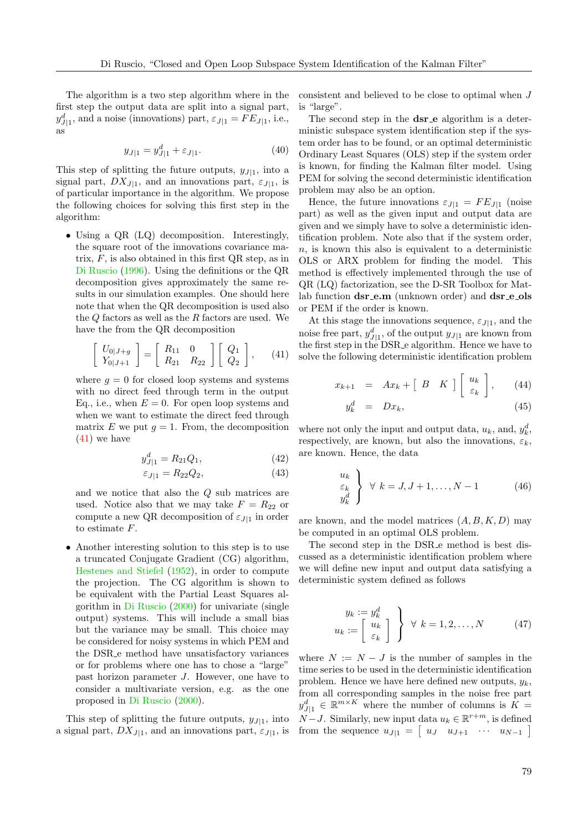The algorithm is a two step algorithm where in the first step the output data are split into a signal part,  $y_{J|1}^d$ , and a noise (innovations) part,  $\varepsilon_{J|1} = FE_{J|1}$ , i.e., as

$$
y_{J|1} = y_{J|1}^d + \varepsilon_{J|1}.\tag{40}
$$

This step of splitting the future outputs,  $y_{J|1}$ , into a signal part,  $DX_{J|1}$ , and an innovations part,  $\varepsilon_{J|1}$ , is of particular importance in the algorithm. We propose the following choices for solving this first step in the algorithm:

• Using a QR (LQ) decomposition. Interestingly, the square root of the innovations covariance matrix,  $F$ , is also obtained in this first QR step, as in [Di Ruscio](#page-14-7) [\(1996\)](#page-14-7). Using the definitions or the QR decomposition gives approximately the same results in our simulation examples. One should here note that when the QR decomposition is used also the  $Q$  factors as well as the  $R$  factors are used. We have the from the QR decomposition

<span id="page-8-0"></span>
$$
\left[\begin{array}{c} U_{0|J+g} \\ Y_{0|J+1} \end{array}\right] = \left[\begin{array}{cc} R_{11} & 0 \\ R_{21} & R_{22} \end{array}\right] \left[\begin{array}{c} Q_1 \\ Q_2 \end{array}\right],\qquad(41)
$$

where  $q = 0$  for closed loop systems and systems with no direct feed through term in the output Eq., i.e., when  $E = 0$ . For open loop systems and when we want to estimate the direct feed through matrix E we put  $q = 1$ . From, the decomposition [\(41\)](#page-8-0) we have

$$
y_{J|1}^d = R_{21}Q_1,\t\t(42)
$$

$$
\varepsilon_{J|1} = R_{22}Q_2,\tag{43}
$$

and we notice that also the Q sub matrices are used. Notice also that we may take  $F = R_{22}$  or compute a new QR decomposition of  $\varepsilon_{J|1}$  in order to estimate F.

• Another interesting solution to this step is to use a truncated Conjugate Gradient (CG) algorithm, [Hestenes and Stiefel](#page-14-21) [\(1952\)](#page-14-21), in order to compute the projection. The CG algorithm is shown to be equivalent with the Partial Least Squares algorithm in [Di Ruscio](#page-14-22) [\(2000\)](#page-14-22) for univariate (single output) systems. This will include a small bias but the variance may be small. This choice may be considered for noisy systems in which PEM and the DSR e method have unsatisfactory variances or for problems where one has to chose a "large" past horizon parameter J. However, one have to consider a multivariate version, e.g. as the one proposed in [Di Ruscio](#page-14-22) [\(2000\)](#page-14-22).

This step of splitting the future outputs,  $y_{J|1}$ , into a signal part,  $DX_{J|1}$ , and an innovations part,  $\varepsilon_{J|1}$ , is consistent and believed to be close to optimal when J is "large".

The second step in the **dsr**<sub>-</sub>**e** algorithm is a deterministic subspace system identification step if the system order has to be found, or an optimal deterministic Ordinary Least Squares (OLS) step if the system order is known, for finding the Kalman filter model. Using PEM for solving the second deterministic identification problem may also be an option.

Hence, the future innovations  $\varepsilon_{J|1} = FE_{J|1}$  (noise part) as well as the given input and output data are given and we simply have to solve a deterministic identification problem. Note also that if the system order,  $n$ , is known this also is equivalent to a deterministic OLS or ARX problem for finding the model. This method is effectively implemented through the use of QR (LQ) factorization, see the D-SR Toolbox for Matlab function dsr\_e.m (unknown order) and dsr\_e\_ols or PEM if the order is known.

At this stage the innovations sequence,  $\varepsilon_{J|1}$ , and the noise free part,  $y_{J|1}^d$ , of the output  $y_{J|1}$  are known from the first step in the DSR e algorithm. Hence we have to solve the following deterministic identification problem

$$
x_{k+1} = Ax_k + \begin{bmatrix} B & K \end{bmatrix} \begin{bmatrix} u_k \\ \varepsilon_k \end{bmatrix}, \qquad (44)
$$

$$
y_k^d = Dx_k,\tag{45}
$$

where not only the input and output data,  $u_k$ , and,  $y_k^d$ , respectively, are known, but also the innovations,  $\varepsilon_k$ , are known. Hence, the data

$$
\begin{aligned}\n u_k \\
 \varepsilon_k \\
 y_k^d\n \end{aligned}\n \bigg\} \quad \forall \ k = J, J + 1, \dots, N - 1 \tag{46}
$$

are known, and the model matrices  $(A, B, K, D)$  may be computed in an optimal OLS problem.

The second step in the DSR e method is best discussed as a deterministic identification problem where we will define new input and output data satisfying a deterministic system defined as follows

$$
y_k := y_k^d
$$
  

$$
u_k := \left[\begin{array}{c} u_k \\ e_k \end{array}\right] \quad \forall \ k = 1, 2, \dots, N \tag{47}
$$

where  $N := N - J$  is the number of samples in the time series to be used in the deterministic identification problem. Hence we have here defined new outputs,  $y_k$ , from all corresponding samples in the noise free part  $y_{J|1}^d \in \mathbb{R}^{m \times K}$  where the number of columns is  $K =$  $N-J$ . Similarly, new input data  $u_k \in \mathbb{R}^{r+m}$ , is defined from the sequence  $u_{J|1} = \begin{bmatrix} u_J & u_{J+1} & \cdots & u_{N-1} \end{bmatrix}$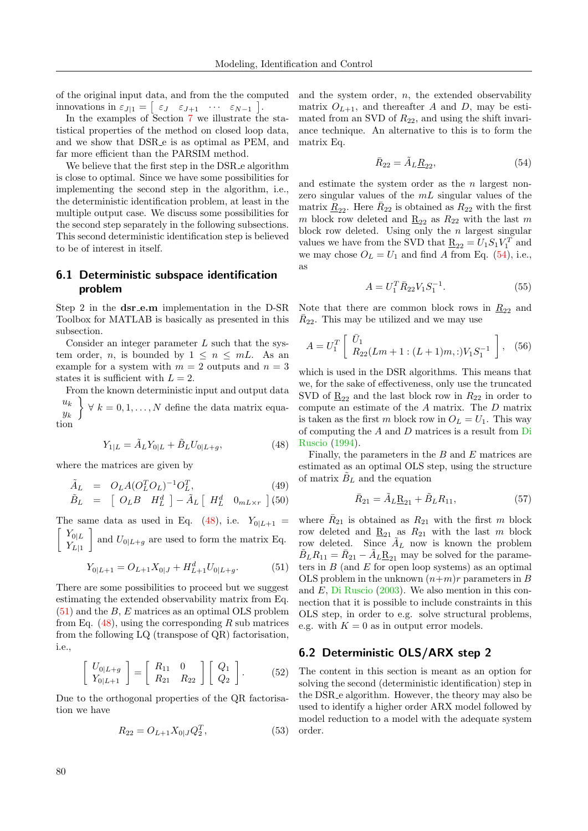of the original input data, and from the the computed innovations in  $\varepsilon_{J|1} = \begin{bmatrix} \varepsilon_J & \varepsilon_{J+1} & \cdots & \varepsilon_{N-1} \end{bmatrix}$ .

In the examples of Section [7](#page-11-0) we illustrate the statistical properties of the method on closed loop data, and we show that DSR e is as optimal as PEM, and far more efficient than the PARSIM method.

We believe that the first step in the DSR e algorithm is close to optimal. Since we have some possibilities for implementing the second step in the algorithm, i.e., the deterministic identification problem, at least in the multiple output case. We discuss some possibilities for the second step separately in the following subsections. This second deterministic identification step is believed to be of interest in itself.

## <span id="page-9-0"></span>6.1 Deterministic subspace identification problem

Step 2 in the  $dsr$ -e.m implementation in the D-SR Toolbox for MATLAB is basically as presented in this subsection.

Consider an integer parameter  $L$  such that the system order, *n*, is bounded by  $1 \leq n \leq mL$ . As an example for a system with  $m = 2$  outputs and  $n = 3$ states it is sufficient with  $L = 2$ .

From the known deterministic input and output data  $u_k$  $y_k$ <sup>1</sup>  $\forall k = 0, 1, \ldots, N$  define the data matrix equation

<span id="page-9-2"></span>
$$
Y_{1|L} = \tilde{A}_L Y_{0|L} + \tilde{B}_L U_{0|L+g},
$$
\n(48)

where the matrices are given by

$$
\tilde{A}_L = O_L A (O_L^T O_L)^{-1} O_L^T,
$$
\n
$$
\tilde{B}_L = \begin{bmatrix} O_L B & H_L^d \end{bmatrix} - \tilde{A}_L \begin{bmatrix} H_L^d & 0_{mL \times r} \end{bmatrix}
$$
\n(49)

$$
\tilde{B}_L = \begin{bmatrix} O_L B & H^d_L \end{bmatrix} - \tilde{A}_L \begin{bmatrix} H^d_L & 0_{mL \times r} \end{bmatrix}
$$
(50)  
be same data as used in Eq. (48) i.e.  $Y_{c(L)} =$ 

The same data as used in Eq. [\(48\)](#page-9-2), i.e.  $Y_{0|L+1}$  $\lceil Y_{0|L} \rceil$  $Y_{L|1}$ and  $U_{0|L+g}$  are used to form the matrix Eq.

<span id="page-9-3"></span>
$$
Y_{0|L+1} = O_{L+1}X_{0|J} + H_{L+1}^d U_{0|L+g}.
$$
 (51)

There are some possibilities to proceed but we suggest estimating the extended observability matrix from Eq.  $(51)$  and the B, E matrices as an optimal OLS problem from Eq.  $(48)$ , using the corresponding R sub matrices from the following LQ (transpose of QR) factorisation, i.e.,

$$
\left[\begin{array}{c} U_{0|L+g} \\ Y_{0|L+1} \end{array}\right] = \left[\begin{array}{cc} R_{11} & 0 \\ R_{21} & R_{22} \end{array}\right] \left[\begin{array}{c} Q_1 \\ Q_2 \end{array}\right].
$$
 (52)

Due to the orthogonal properties of the QR factorisation we have

$$
R_{22} = O_{L+1} X_{0|J} Q_2^T,
$$
\n(53)

and the system order,  $n$ , the extended observability matrix  $O_{L+1}$ , and thereafter A and D, may be estimated from an SVD of  $R_{22}$ , and using the shift invariance technique. An alternative to this is to form the matrix Eq.

<span id="page-9-4"></span>
$$
\bar{R}_{22} = \tilde{A}_L \underline{R}_{22},\tag{54}
$$

and estimate the system order as the  $n$  largest nonzero singular values of the  $mL$  singular values of the matrix  $\underline{R}_{22}$ . Here  $\overline{R}_{22}$  is obtained as  $R_{22}$  with the first m block row deleted and  $\underline{R}_{22}$  as  $R_{22}$  with the last m block row deleted. Using only the  $n$  largest singular values we have from the SVD that  $\underline{\mathbf{R}}_{22} = U_1 S_1 V_1^T$  and we may chose  $O_L = U_1$  and find A from Eq. [\(54\)](#page-9-4), i.e., as

$$
A = U_1^T \bar{R}_{22} V_1 S_1^{-1}.
$$
 (55)

Note that there are common block rows in  $\underline{R}_{22}$  and  $\bar{R}_{22}$ . This may be utilized and we may use

$$
A = U_1^T \left[ \begin{array}{c} \bar{U}_1 \\ R_{22}(Lm + 1 : (L+1)m, :)V_1 S_1^{-1} \end{array} \right], \quad (56)
$$

which is used in the DSR algorithms. This means that we, for the sake of effectiveness, only use the truncated SVD of  $R_{22}$  and the last block row in  $R_{22}$  in order to compute an estimate of the A matrix. The D matrix is taken as the first m block row in  $O<sub>L</sub> = U<sub>1</sub>$ . This way of computing the A and D matrices is a result from [Di](#page-14-6) [Ruscio](#page-14-6) [\(1994\)](#page-14-6).

Finally, the parameters in the  $B$  and  $E$  matrices are estimated as an optimal OLS step, using the structure of matrix  $B_L$  and the equation

$$
\bar{R}_{21} = \tilde{A}_L \underline{\mathbf{R}}_{21} + \tilde{B}_L R_{11},\tag{57}
$$

where  $\bar{R}_{21}$  is obtained as  $R_{21}$  with the first m block row deleted and  $\underline{R}_{21}$  as  $R_{21}$  with the last m block row deleted. Since  $A_L$  now is known the problem  $\tilde{B}_L R_{11} = \bar{R}_{21} - \tilde{A}_L \underline{R}_{21}$  may be solved for the parameters in  $B$  (and  $E$  for open loop systems) as an optimal OLS problem in the unknown  $(n+m)r$  parameters in B and E, [Di Ruscio](#page-14-20) [\(2003\)](#page-14-20). We also mention in this connection that it is possible to include constraints in this OLS step, in order to e.g. solve structural problems, e.g. with  $K = 0$  as in output error models.

#### <span id="page-9-1"></span>6.2 Deterministic OLS/ARX step 2

The content in this section is meant as an option for solving the second (deterministic identification) step in the DSR e algorithm. However, the theory may also be used to identify a higher order ARX model followed by model reduction to a model with the adequate system order.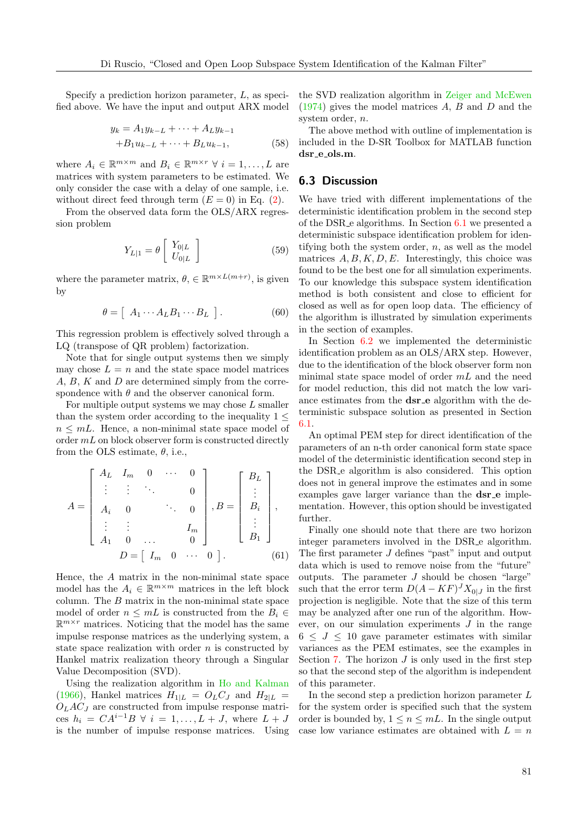Specify a prediction horizon parameter, L, as specified above. We have the input and output ARX model

$$
y_k = A_1 y_{k-L} + \dots + A_L y_{k-1}
$$
  
+ $B_1 u_{k-L} + \dots + B_L u_{k-1}$ , (58)

where  $A_i \in \mathbb{R}^{m \times m}$  and  $B_i \in \mathbb{R}^{m \times r}$   $\forall i = 1, ..., L$  are matrices with system parameters to be estimated. We only consider the case with a delay of one sample, i.e. without direct feed through term  $(E = 0)$  in Eq. [\(2\)](#page-2-2).

From the observed data form the OLS/ARX regression problem

$$
Y_{L|1} = \theta \left[ \begin{array}{c} Y_{0|L} \\ U_{0|L} \end{array} \right] \tag{59}
$$

where the parameter matrix,  $\theta$ ,  $\in \mathbb{R}^{m \times L(m+r)}$ , is given by

$$
\theta = [ A_1 \cdots A_L B_1 \cdots B_L ]. \qquad (60)
$$

This regression problem is effectively solved through a LQ (transpose of QR problem) factorization.

Note that for single output systems then we simply may chose  $L = n$  and the state space model matrices  $A, B, K$  and  $D$  are determined simply from the correspondence with  $\theta$  and the observer canonical form.

For multiple output systems we may chose  $L$  smaller than the system order according to the inequality  $1 \leq$  $n \leq mL$ . Hence, a non-minimal state space model of order  $mL$  on block observer form is constructed directly from the OLS estimate,  $\theta$ , i.e.,

$$
A = \begin{bmatrix} A_L & I_m & 0 & \cdots & 0 \\ \vdots & \vdots & \ddots & & 0 \\ A_i & 0 & & \ddots & 0 \\ \vdots & \vdots & & & I_m \\ A_1 & 0 & \cdots & & 0 \end{bmatrix}, B = \begin{bmatrix} B_L \\ \vdots \\ B_i \\ \vdots \\ B_1 \end{bmatrix},
$$

$$
D = \begin{bmatrix} I_m & 0 & \cdots & 0 \end{bmatrix}.
$$
(61)

Hence, the A matrix in the non-minimal state space model has the  $A_i \in \mathbb{R}^{m \times m}$  matrices in the left block column. The B matrix in the non-minimal state space model of order  $n \leq mL$  is constructed from the  $B_i \in$  $\mathbb{R}^{m \times r}$  matrices. Noticing that the model has the same impulse response matrices as the underlying system, a state space realization with order  $n$  is constructed by Hankel matrix realization theory through a Singular Value Decomposition (SVD).

Using the realization algorithm in [Ho and Kalman](#page-14-0) [\(1966\)](#page-14-0), Hankel matrices  $H_{1|L} = O_L C_J$  and  $H_{2|L} =$  $O<sub>L</sub>AC<sub>J</sub>$  are constructed from impulse response matrices  $h_i = CA^{i-1}B \ \forall \ i = 1, ..., L + J$ , where  $L + J$ is the number of impulse response matrices. Using the SVD realization algorithm in [Zeiger and McEwen](#page-15-1)  $(1974)$  gives the model matrices A, B and D and the system order, n.

The above method with outline of implementation is included in the D-SR Toolbox for MATLAB function dsr<sub>-e-ols</sub>.m.

#### <span id="page-10-0"></span>6.3 Discussion

We have tried with different implementations of the deterministic identification problem in the second step of the DSR e algorithms. In Section [6.1](#page-9-0) we presented a deterministic subspace identification problem for identifying both the system order,  $n$ , as well as the model matrices  $A, B, K, D, E$ . Interestingly, this choice was found to be the best one for all simulation experiments. To our knowledge this subspace system identification method is both consistent and close to efficient for closed as well as for open loop data. The efficiency of the algorithm is illustrated by simulation experiments in the section of examples.

In Section [6.2](#page-9-1) we implemented the deterministic identification problem as an OLS/ARX step. However, due to the identification of the block observer form non minimal state space model of order  $mL$  and the need for model reduction, this did not match the low variance estimates from the **dsr**<sub>-e</sub> algorithm with the deterministic subspace solution as presented in Section [6.1.](#page-9-0)

An optimal PEM step for direct identification of the parameters of an n-th order canonical form state space model of the deterministic identification second step in the DSR e algorithm is also considered. This option does not in general improve the estimates and in some examples gave larger variance than the **dsr\_e** implementation. However, this option should be investigated further.

Finally one should note that there are two horizon integer parameters involved in the DSR e algorithm. The first parameter J defines "past" input and output data which is used to remove noise from the "future" outputs. The parameter  $J$  should be chosen "large" such that the error term  $D(A - KF)^J X_{0|J}$  in the first projection is negligible. Note that the size of this term may be analyzed after one run of the algorithm. However, on our simulation experiments  $J$  in the range  $6 \leq J \leq 10$  gave parameter estimates with similar variances as the PEM estimates, see the examples in Section [7.](#page-11-0) The horizon  $J$  is only used in the first step so that the second step of the algorithm is independent of this parameter.

In the second step a prediction horizon parameter L for the system order is specified such that the system order is bounded by,  $1 \leq n \leq mL$ . In the single output case low variance estimates are obtained with  $L = n$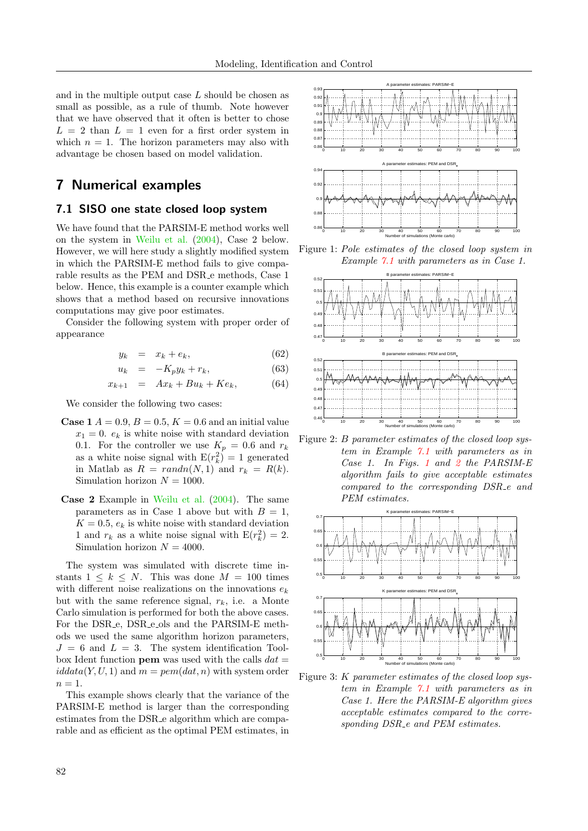and in the multiple output case  $L$  should be chosen as small as possible, as a rule of thumb. Note however that we have observed that it often is better to chose  $L = 2$  than  $L = 1$  even for a first order system in which  $n = 1$ . The horizon parameters may also with advantage be chosen based on model validation.

# <span id="page-11-0"></span>7 Numerical examples

#### <span id="page-11-1"></span>7.1 SISO one state closed loop system

We have found that the PARSIM-E method works well on the system in [Weilu et al.](#page-14-13) [\(2004\)](#page-14-13), Case 2 below. However, we will here study a slightly modified system in which the PARSIM-E method fails to give comparable results as the PEM and DSR e methods, Case 1 below. Hence, this example is a counter example which shows that a method based on recursive innovations computations may give poor estimates.

Consider the following system with proper order of appearance

$$
y_k = x_k + e_k, \tag{62}
$$

$$
u_k = -K_p y_k + r_k, \t\t(63)
$$

$$
x_{k+1} = Ax_k + Bu_k + Ke_k, \qquad (64)
$$

We consider the following two cases:

- **Case 1**  $A = 0.9, B = 0.5, K = 0.6$  and an initial value  $x_1 = 0$ .  $e_k$  is white noise with standard deviation 0.1. For the controller we use  $K_p = 0.6$  and  $r_k$ as a white noise signal with  $E(r_k^2) = 1$  generated in Matlab as  $R = randn(N, 1)$  and  $r_k = R(k)$ . Simulation horizon  $N = 1000$ .
- Case 2 Example in [Weilu et al.](#page-14-13) [\(2004\)](#page-14-13). The same parameters as in Case 1 above but with  $B = 1$ ,  $K = 0.5$ ,  $e_k$  is white noise with standard deviation 1 and  $r_k$  as a white noise signal with  $E(r_k^2) = 2$ . Simulation horizon  $N = 4000$ .

The system was simulated with discrete time instants  $1 \leq k \leq N$ . This was done  $M = 100$  times with different noise realizations on the innovations  $e_k$ but with the same reference signal,  $r_k$ , i.e. a Monte Carlo simulation is performed for both the above cases. For the DSR<sub>e</sub>, DSR<sub>e</sub> ols and the PARSIM-E methods we used the same algorithm horizon parameters,  $J = 6$  and  $L = 3$ . The system identification Toolbox Ident function **pem** was used with the calls  $dat =$  $iddata(Y, U, 1)$  and  $m = pem(data, n)$  with system order  $n=1$ .

This example shows clearly that the variance of the PARSIM-E method is larger than the corresponding estimates from the DSR e algorithm which are comparable and as efficient as the optimal PEM estimates, in



<span id="page-11-2"></span>Figure 1: Pole estimates of the closed loop system in Example [7.1](#page-11-1) with parameters as in Case 1.



<span id="page-11-3"></span>Figure 2: B parameter estimates of the closed loop system in Example [7.1](#page-11-1) with parameters as in Case 1. In Figs. [1](#page-11-2) and [2](#page-11-3) the PARSIM-E algorithm fails to give acceptable estimates compared to the corresponding DSR e and PEM estimates.



<span id="page-11-4"></span>Figure 3: K parameter estimates of the closed loop system in Example [7.1](#page-11-1) with parameters as in Case 1. Here the PARSIM-E algorithm gives acceptable estimates compared to the corresponding DSR\_e and PEM estimates.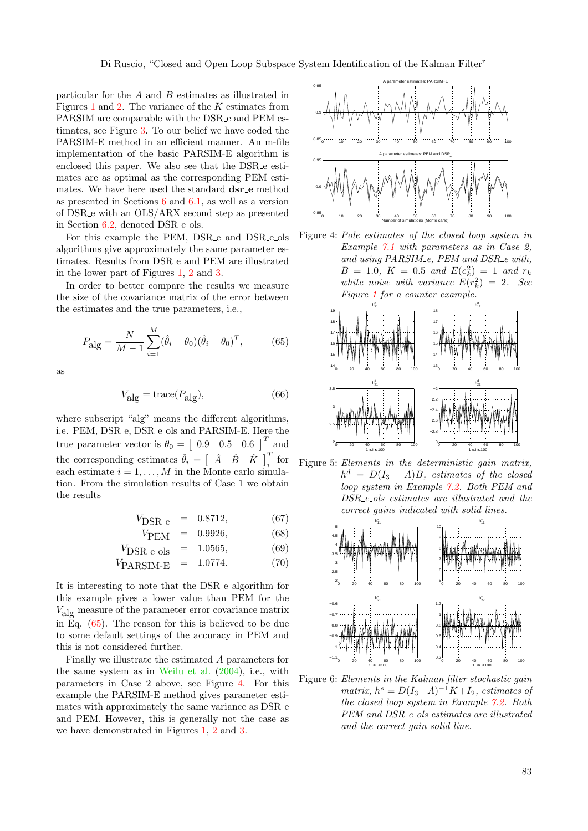particular for the  $A$  and  $B$  estimates as illustrated in Figures [1](#page-11-2) and [2.](#page-11-3) The variance of the K estimates from PARSIM are comparable with the DSR e and PEM estimates, see Figure [3.](#page-11-4) To our belief we have coded the PARSIM-E method in an efficient manner. An m-file implementation of the basic PARSIM-E algorithm is enclosed this paper. We also see that the DSR e estimates are as optimal as the corresponding PEM estimates. We have here used the standard **dsr\_e** method as presented in Sections [6](#page-7-0) and [6.1,](#page-9-0) as well as a version of DSR e with an OLS/ARX second step as presented in Section [6.2,](#page-9-1) denoted DSR<sub>-e-ols</sub>.

For this example the PEM, DSR<sub>-e</sub> and DSR<sub>-e-ols</sub> algorithms give approximately the same parameter estimates. Results from DSR e and PEM are illustrated in the lower part of Figures [1,](#page-11-2) [2](#page-11-3) and [3.](#page-11-4)

In order to better compare the results we measure the size of the covariance matrix of the error between the estimates and the true parameters, i.e.,

<span id="page-12-0"></span>
$$
P_{\text{alg}} = \frac{N}{M-1} \sum_{i=1}^{M} (\hat{\theta}_i - \theta_0)(\hat{\theta}_i - \theta_0)^T, \tag{65}
$$

as

$$
V_{\rm alg} = {\rm trace}(P_{\rm alg}), \eqno(66)
$$

where subscript "alg" means the different algorithms, i.e. PEM, DSR<sub>-e</sub>, DSR<sub>-e-ols</sub> and PARSIM-E. Here the true parameter vector is  $\theta_0 = \begin{bmatrix} 0.9 & 0.5 & 0.6 \end{bmatrix}^T$  and the corresponding estimates  $\hat{\theta}_i = \begin{bmatrix} \hat{A} & \hat{B} & \hat{K} \end{bmatrix}_i^T$  for each estimate  $i = 1, ..., M$  in the Monte carlo simulation. From the simulation results of Case 1 we obtain the results

$$
V_{\text{DSR}_-e} = 0.8712, \tag{67}
$$

$$
VPEM = 0.9926, \t(68)
$$

$$
V_{\text{DSR.e.ols}} = 1.0565, \tag{69}
$$

$$
V_{\text{PARSIM-E}} = 1.0774. \tag{70}
$$

It is interesting to note that the DSR e algorithm for this example gives a lower value than PEM for the Valg measure of the parameter error covariance matrix in Eq. [\(65\)](#page-12-0). The reason for this is believed to be due to some default settings of the accuracy in PEM and this is not considered further.

Finally we illustrate the estimated A parameters for the same system as in [Weilu et al.](#page-14-13) [\(2004\)](#page-14-13), i.e., with parameters in Case 2 above, see Figure [4.](#page-12-1) For this example the PARSIM-E method gives parameter estimates with approximately the same variance as DSR\_e and PEM. However, this is generally not the case as we have demonstrated in Figures [1,](#page-11-2) [2](#page-11-3) and [3.](#page-11-4)



<span id="page-12-1"></span>Figure 4: Pole estimates of the closed loop system in Example [7.1](#page-11-1) with parameters as in Case 2, and using PARSIM\_e, PEM and DSR\_e with,  $B = 1.0, K = 0.5 \text{ and } E(e_k^2) = 1 \text{ and } r_k$ white noise with variance  $E(r_k^2) = 2$ . See Figure [1](#page-11-2) for a counter example.



<span id="page-12-2"></span>Figure 5: Elements in the deterministic gain matrix,  $h^d = D(I_3 - A)B$ , estimates of the closed loop system in Example [7.2.](#page-13-1) Both PEM and DSR<sub>-e-ols</sub> estimates are illustrated and the correct gains indicated with solid lines.



<span id="page-12-3"></span>Figure 6: Elements in the Kalman filter stochastic gain matrix,  $h^s = D(I_3-A)^{-1}K+I_2$ , estimates of the closed loop system in Example [7.2.](#page-13-1) Both PEM and DSR<sub>-e-ols</sub> estimates are illustrated and the correct gain solid line.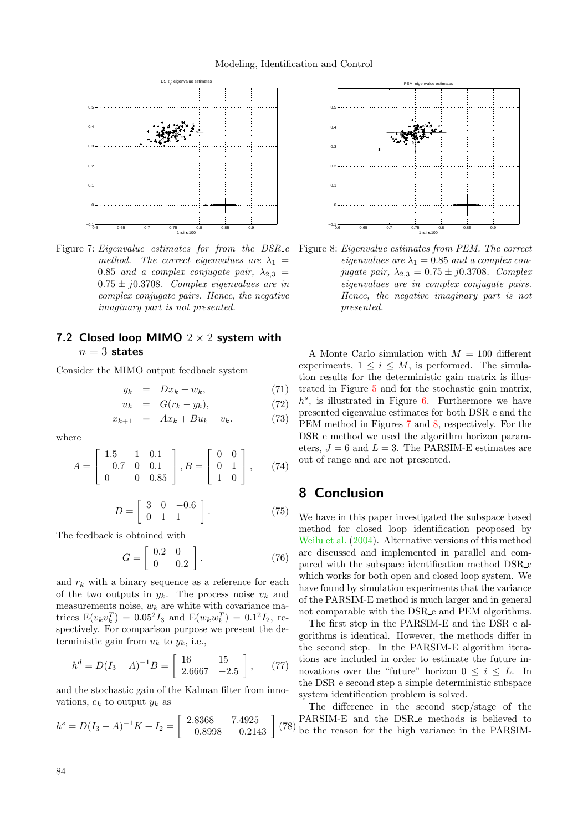

<span id="page-13-2"></span>Figure 7: Eigenvalue estimates for from the DSR\_e Figure 8: Eigenvalue estimates from PEM. The correct method. The correct eigenvalues are  $\lambda_1$  = 0.85 and a complex conjugate pair,  $\lambda_{2,3} =$  $0.75 \pm j0.3708$ . Complex eigenvalues are in complex conjugate pairs. Hence, the negative imaginary part is not presented.

#### <span id="page-13-1"></span>7.2 Closed loop MIMO  $2 \times 2$  system with  $n=3$  states

Consider the MIMO output feedback system

$$
y_k = Dx_k + w_k, \tag{71}
$$

$$
u_k = G(r_k - y_k), \tag{72}
$$

$$
x_{k+1} = Ax_k + Bu_k + v_k. \t(73)
$$

where

$$
A = \begin{bmatrix} 1.5 & 1 & 0.1 \\ -0.7 & 0 & 0.1 \\ 0 & 0 & 0.85 \end{bmatrix}, B = \begin{bmatrix} 0 & 0 \\ 0 & 1 \\ 1 & 0 \end{bmatrix}, \qquad (74)
$$

$$
D = \left[ \begin{array}{ccc} 3 & 0 & -0.6 \\ 0 & 1 & 1 \end{array} \right].
$$
 (75)

The feedback is obtained with

$$
G = \left[ \begin{array}{cc} 0.2 & 0 \\ 0 & 0.2 \end{array} \right]. \tag{76}
$$

and  $r_k$  with a binary sequence as a reference for each of the two outputs in  $y_k$ . The process noise  $v_k$  and measurements noise,  $w_k$  are white with covariance matrices  $E(v_k v_k^T) = 0.05^2 I_3$  and  $E(w_k w_k^T) = 0.1^2 I_2$ , respectively. For comparison purpose we present the deterministic gain from  $u_k$  to  $y_k$ , i.e.,

$$
h^{d} = D(I_3 - A)^{-1}B = \begin{bmatrix} 16 & 15 \\ 2.6667 & -2.5 \end{bmatrix}, \quad (77)
$$

and the stochastic gain of the Kalman filter from innovations,  $e_k$  to output  $y_k$  as

$$
h^s = D(I_3 - A)^{-1}K + I_2 = \begin{bmatrix} 2.8368 & 7.4925 \\ -0.8998 & -0.2143 \end{bmatrix} (78)
$$



<span id="page-13-3"></span>eigenvalues are  $\lambda_1 = 0.85$  and a complex conjugate pair,  $\lambda_{2,3} = 0.75 \pm j0.3708$ . Complex eigenvalues are in complex conjugate pairs. Hence, the negative imaginary part is not presented.

A Monte Carlo simulation with  $M = 100$  different experiments,  $1 \leq i \leq M$ , is performed. The simulation results for the deterministic gain matrix is illustrated in Figure [5](#page-12-2) and for the stochastic gain matrix,  $h^s$ , is illustrated in Figure [6.](#page-12-3) Furthermore we have presented eigenvalue estimates for both DSR e and the PEM method in Figures [7](#page-13-2) and [8,](#page-13-3) respectively. For the DSR e method we used the algorithm horizon parameters,  $J = 6$  and  $L = 3$ . The PARSIM-E estimates are out of range and are not presented.

## <span id="page-13-0"></span>8 Conclusion

We have in this paper investigated the subspace based method for closed loop identification proposed by [Weilu et al.](#page-14-13) [\(2004\)](#page-14-13). Alternative versions of this method are discussed and implemented in parallel and compared with the subspace identification method DSR e which works for both open and closed loop system. We have found by simulation experiments that the variance of the PARSIM-E method is much larger and in general not comparable with the DSR e and PEM algorithms.

The first step in the PARSIM-E and the DSR e algorithms is identical. However, the methods differ in the second step. In the PARSIM-E algorithm iterations are included in order to estimate the future innovations over the "future" horizon  $0 \leq i \leq L$ . In the DSR e second step a simple deterministic subspace system identification problem is solved.

(78) be the reason for the high variance in the PARSIM-The difference in the second step/stage of the PARSIM-E and the DSR<sub>-e</sub> methods is believed to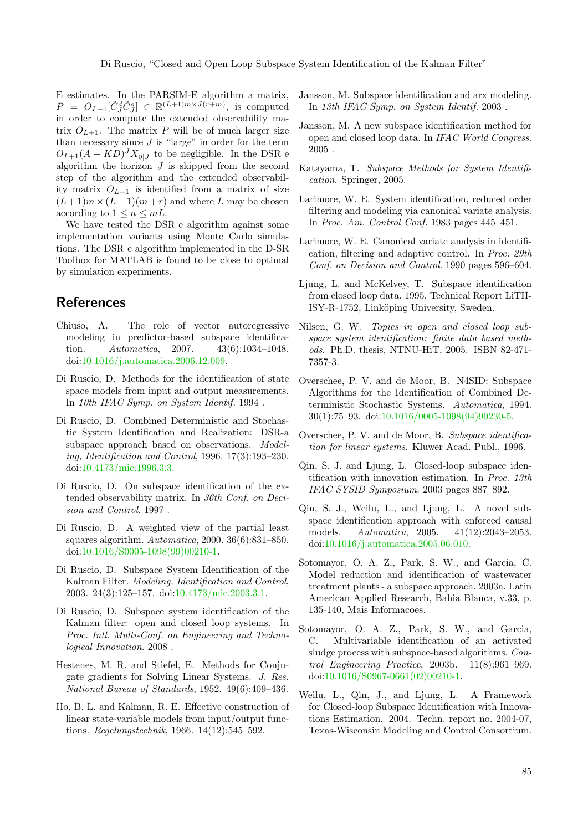E estimates. In the PARSIM-E algorithm a matrix,  $P = O_{L+1}[\tilde{C}_{J}^{d}\tilde{C}_{J}^{s}] \in \mathbb{R}^{(L+1)m \times J(r+m)},$  is computed in order to compute the extended observability matrix  $O_{L+1}$ . The matrix P will be of much larger size than necessary since  $J$  is "large" in order for the term  $O_{L+1}(A - KD)^J X_{0|J}$  to be negligible. In the DSR\_e algorithm the horizon  $J$  is skipped from the second step of the algorithm and the extended observability matrix  $O_{L+1}$  is identified from a matrix of size  $(L+1)m \times (L+1)(m+r)$  and where L may be chosen according to  $1 \leq n \leq mL$ .

We have tested the DSR<sub>-e</sub> algorithm against some implementation variants using Monte Carlo simulations. The DSR e algorithm implemented in the D-SR Toolbox for MATLAB is found to be close to optimal by simulation experiments.

## References

- <span id="page-14-19"></span>Chiuso, A. The role of vector autoregressive modeling in predictor-based subspace identification. Automatica, 2007. 43(6):1034–1048. doi[:10.1016/j.automatica.2006.12.009.](http://dx.doi.org/10.1016/j.automatica.2006.12.009)
- <span id="page-14-6"></span>Di Ruscio, D. Methods for the identification of state space models from input and output measurements. In 10th IFAC Symp. on System Identif. 1994 .
- <span id="page-14-7"></span>Di Ruscio, D. Combined Deterministic and Stochastic System Identification and Realization: DSR-a subspace approach based on observations. *Model*ing, Identification and Control, 1996. 17(3):193–230. doi[:10.4173/mic.1996.3.3.](http://dx.doi.org/10.4173/mic.1996.3.3)
- <span id="page-14-15"></span>Di Ruscio, D. On subspace identification of the extended observability matrix. In 36th Conf. on Decision and Control. 1997 .
- <span id="page-14-22"></span>Di Ruscio, D. A weighted view of the partial least squares algorithm. Automatica, 2000. 36(6):831–850. doi[:10.1016/S0005-1098\(99\)00210-1.](http://dx.doi.org/10.1016/S0005-1098(99)00210-1)
- <span id="page-14-20"></span>Di Ruscio, D. Subspace System Identification of the Kalman Filter. Modeling, Identification and Control, 2003. 24(3):125–157. doi[:10.4173/mic.2003.3.1.](http://dx.doi.org/10.4173/mic.2003.3.1)
- <span id="page-14-10"></span>Di Ruscio, D. Subspace system identification of the Kalman filter: open and closed loop systems. In Proc. Intl. Multi-Conf. on Engineering and Technological Innovation. 2008 .
- <span id="page-14-21"></span>Hestenes, M. R. and Stiefel, E. Methods for Conjugate gradients for Solving Linear Systems. J. Res. National Bureau of Standards, 1952. 49(6):409–436.
- <span id="page-14-0"></span>Ho, B. L. and Kalman, R. E. Effective construction of linear state-variable models from input/output functions. Regelungstechnik, 1966. 14(12):545–592.
- <span id="page-14-17"></span>Jansson, M. Subspace identification and arx modeling. In 13th IFAC Symp. on System Identif. 2003 .
- <span id="page-14-18"></span>Jansson, M. A new subspace identification method for open and closed loop data. In IFAC World Congress. 2005 .
- <span id="page-14-5"></span>Katayama, T. Subspace Methods for System Identification. Springer, 2005.
- <span id="page-14-1"></span>Larimore, W. E. System identification, reduced order filtering and modeling via canonical variate analysis. In Proc. Am. Control Conf. 1983 pages 445–451.
- <span id="page-14-2"></span>Larimore, W. E. Canonical variate analysis in identification, filtering and adaptive control. In Proc. 29th Conf. on Decision and Control. 1990 pages 596–604.
- <span id="page-14-16"></span>Ljung, L. and McKelvey, T. Subspace identification from closed loop data. 1995. Technical Report LiTH-ISY-R-1752, Linköping University, Sweden.
- <span id="page-14-11"></span>Nilsen, G. W. Topics in open and closed loop subspace system identification: finite data based methods. Ph.D. thesis, NTNU-HiT, 2005. ISBN 82-471- 7357-3.
- <span id="page-14-3"></span>Overschee, P. V. and de Moor, B. N4SID: Subspace Algorithms for the Identification of Combined Deterministic Stochastic Systems. Automatica, 1994. 30(1):75–93. doi[:10.1016/0005-1098\(94\)90230-5.](http://dx.doi.org/10.1016/0005-1098(94)90230-5)
- <span id="page-14-4"></span>Overschee, P. V. and de Moor, B. Subspace identification for linear systems. Kluwer Acad. Publ., 1996.
- <span id="page-14-12"></span>Qin, S. J. and Ljung, L. Closed-loop subspace identification with innovation estimation. In Proc. 13th IFAC SYSID Symposium. 2003 pages 887–892.
- <span id="page-14-14"></span>Qin, S. J., Weilu, L., and Ljung, L. A novel subspace identification approach with enforced causal models. Automatica, 2005. 41(12):2043–2053. doi[:10.1016/j.automatica.2005.06.010.](http://dx.doi.org/10.1016/j.automatica.2005.06.010)
- <span id="page-14-8"></span>Sotomayor, O. A. Z., Park, S. W., and Garcia, C. Model reduction and identification of wastewater treatment plants - a subspace approach. 2003a. Latin American Applied Research, Bahia Blanca, v.33, p. 135-140, Mais Informacoes.
- <span id="page-14-9"></span>Sotomayor, O. A. Z., Park, S. W., and Garcia, C. Multivariable identification of an activated sludge process with subspace-based algorithms. Control Engineering Practice, 2003b. 11(8):961–969. doi[:10.1016/S0967-0661\(02\)00210-1.](http://dx.doi.org/10.1016/S0967-0661(02)00210-1)
- <span id="page-14-13"></span>Weilu, L., Qin, J., and Ljung, L. A Framework for Closed-loop Subspace Identification with Innovations Estimation. 2004. Techn. report no. 2004-07, Texas-Wisconsin Modeling and Control Consortium.